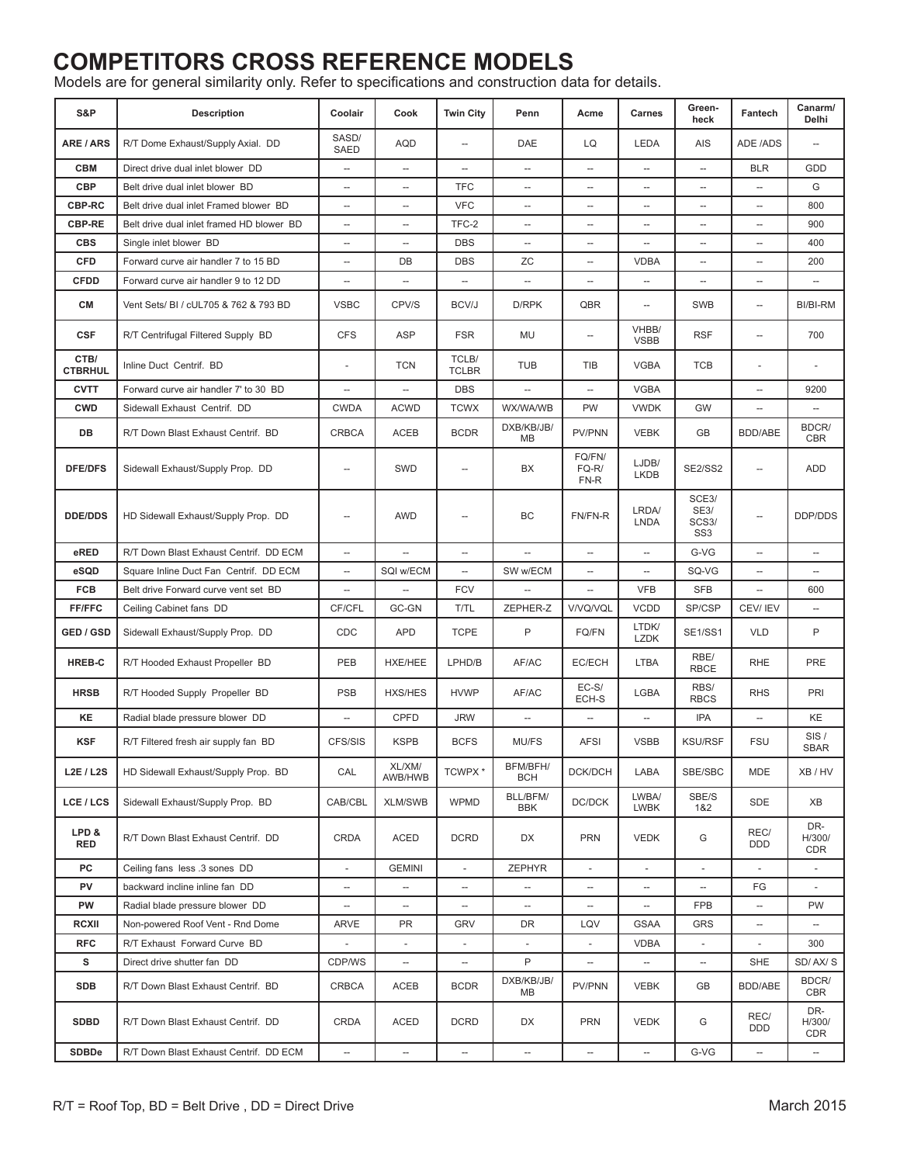## **COMPETITORS CROSS REFERENCE MODELS**

Models are for general similarity only. Refer to specifications and construction data for details.

| S&P                    | <b>Description</b>                        | Coolair                  | Cook                     | <b>Twin City</b>         | Penn                     | Acme                      | <b>Carnes</b>            | Green-<br>heck                                         | Fantech                  | Canarm/<br>Delhi           |
|------------------------|-------------------------------------------|--------------------------|--------------------------|--------------------------|--------------------------|---------------------------|--------------------------|--------------------------------------------------------|--------------------------|----------------------------|
| <b>ARE / ARS</b>       | R/T Dome Exhaust/Supply Axial. DD         | SASD/<br><b>SAED</b>     | AQD                      | $\overline{\phantom{a}}$ | DAE                      | LQ                        | LEDA                     | AIS                                                    | ADE /ADS                 | --                         |
| <b>CBM</b>             | Direct drive dual inlet blower DD         | --                       | $\overline{\phantom{a}}$ | $\overline{\phantom{a}}$ | $\overline{\phantom{a}}$ | $\overline{\phantom{a}}$  | -−                       | --                                                     | <b>BLR</b>               | GDD                        |
| <b>CBP</b>             | Belt drive dual inlet blower BD           | $\overline{\phantom{0}}$ | $\overline{\phantom{a}}$ | <b>TFC</b>               | $\overline{\phantom{a}}$ | $\overline{\phantom{a}}$  | -−                       | --                                                     | $\overline{\phantom{a}}$ | G                          |
| <b>CBP-RC</b>          | Belt drive dual inlet Framed blower BD    | $\overline{\phantom{a}}$ | $\overline{\phantom{a}}$ | <b>VFC</b>               | --                       | $\overline{\phantom{a}}$  | --                       | --                                                     | $\hspace{0.05cm} \ldots$ | 800                        |
| <b>CBP-RE</b>          | Belt drive dual inlet framed HD blower BD | --                       | $\overline{\phantom{a}}$ | TFC-2                    | $\overline{\phantom{a}}$ | $\overline{\phantom{a}}$  | --                       | --                                                     | $\hspace{0.05cm} \ldots$ | 900                        |
| <b>CBS</b>             | Single inlet blower BD                    | $\overline{\phantom{a}}$ | u.                       | <b>DBS</b>               | --                       | --                        | --                       | --                                                     | $\overline{\phantom{a}}$ | 400                        |
| <b>CFD</b>             | Forward curve air handler 7 to 15 BD      | $\overline{\phantom{a}}$ | DB                       | <b>DBS</b>               | ZC                       | $\overline{\phantom{a}}$  | <b>VDBA</b>              | --                                                     | $\overline{\phantom{a}}$ | 200                        |
| <b>CFDD</b>            | Forward curve air handler 9 to 12 DD      | --                       | u.                       | u.                       | u.                       | $\overline{\phantom{a}}$  | --                       | −−                                                     | $\overline{\phantom{a}}$ | --                         |
| <b>CM</b>              | Vent Sets/ BI / cUL705 & 762 & 793 BD     | <b>VSBC</b>              | CPV/S                    | <b>BCV/J</b>             | D/RPK                    | QBR                       | --                       | <b>SWB</b>                                             | $\overline{\phantom{a}}$ | BI/BI-RM                   |
| <b>CSF</b>             | R/T Centrifugal Filtered Supply BD        | <b>CFS</b>               | <b>ASP</b>               | <b>FSR</b>               | MU                       | $\overline{a}$            | VHBB/<br><b>VSBB</b>     | <b>RSF</b>                                             | $\overline{\phantom{a}}$ | 700                        |
| CTB/<br><b>CTBRHUL</b> | Inline Duct Centrif. BD                   |                          | <b>TCN</b>               | TCLB/<br><b>TCLBR</b>    | <b>TUB</b>               | TIB                       | <b>VGBA</b>              | <b>TCB</b>                                             | $\overline{\phantom{a}}$ | $\overline{\phantom{a}}$   |
| <b>CVTT</b>            | Forward curve air handler 7' to 30 BD     | $\overline{\phantom{a}}$ | $\overline{\phantom{a}}$ | <b>DBS</b>               | $\overline{a}$           | $\overline{\phantom{a}}$  | <b>VGBA</b>              |                                                        | $\overline{\phantom{a}}$ | 9200                       |
| <b>CWD</b>             | Sidewall Exhaust Centrif. DD              | <b>CWDA</b>              | <b>ACWD</b>              | <b>TCWX</b>              | WX/WA/WB                 | PW                        | <b>VWDK</b>              | GW                                                     | $\hspace{0.05cm} \ldots$ | --                         |
| <b>DB</b>              | R/T Down Blast Exhaust Centrif. BD        | <b>CRBCA</b>             | ACEB                     | <b>BCDR</b>              | DXB/KB/JB/<br>MB         | PV/PNN                    | <b>VEBK</b>              | <b>GB</b>                                              | BDD/ABE                  | <b>BDCR/</b><br><b>CBR</b> |
| <b>DFE/DFS</b>         | Sidewall Exhaust/Supply Prop. DD          |                          | SWD                      | $\overline{\phantom{a}}$ | BX                       | FQ/FN/<br>$FQ-R/$<br>FN-R | LJDB/<br><b>LKDB</b>     | <b>SE2/SS2</b>                                         | $\overline{\phantom{a}}$ | ADD                        |
| <b>DDE/DDS</b>         | HD Sidewall Exhaust/Supply Prop. DD       | $\overline{\phantom{a}}$ | <b>AWD</b>               | $\overline{\phantom{a}}$ | ВC                       | FN/FN-R                   | LRDA/<br><b>LNDA</b>     | SCE3/<br>SE3/<br>SCS <sub>3</sub> /<br>SS <sub>3</sub> | $\overline{\phantom{a}}$ | DDP/DDS                    |
| eRED                   | R/T Down Blast Exhaust Centrif. DD ECM    | $\overline{\phantom{a}}$ | Ш,                       | $\overline{\phantom{a}}$ | u.                       | --                        | Ξ.                       | G-VG                                                   | $\overline{\phantom{a}}$ | -−                         |
| eSQD                   | Square Inline Duct Fan Centrif. DD ECM    | $\overline{\phantom{a}}$ | SQI w/ECM                | u.                       | SW w/ECM                 | $\overline{\phantom{a}}$  | --                       | SQ-VG                                                  | $\overline{\phantom{a}}$ |                            |
| <b>FCB</b>             | Belt drive Forward curve vent set BD      | -−                       | $\overline{a}$           | <b>FCV</b>               |                          |                           | <b>VFB</b>               | <b>SFB</b>                                             |                          | 600                        |
| <b>FF/FFC</b>          | Ceiling Cabinet fans DD                   | CF/CFL                   | GC-GN                    | T/TL                     | ZEPHER-Z                 | V/VQ/VQL                  | <b>VCDD</b>              | SP/CSP                                                 | CEV/IEV                  | $\overline{a}$             |
| GED / GSD              | Sidewall Exhaust/Supply Prop. DD          | CDC                      | <b>APD</b>               | <b>TCPE</b>              | P                        | FQ/FN                     | LTDK/<br><b>LZDK</b>     | SE1/SS1                                                | <b>VLD</b>               | P                          |
| <b>HREB-C</b>          | R/T Hooded Exhaust Propeller BD           | <b>PEB</b>               | HXE/HEE                  | LPHD/B                   | AF/AC                    | EC/ECH                    | LTBA                     | RBE/<br><b>RBCE</b>                                    | <b>RHE</b>               | <b>PRE</b>                 |
| <b>HRSB</b>            | R/T Hooded Supply Propeller BD            | <b>PSB</b>               | <b>HXS/HES</b>           | <b>HVWP</b>              | AF/AC                    | $EC-S/$<br>ECH-S          | <b>LGBA</b>              | RBS/<br><b>RBCS</b>                                    | <b>RHS</b>               | PRI                        |
| KE                     | Radial blade pressure blower DD           | --                       | CPFD                     | <b>JRW</b>               | $\overline{\phantom{a}}$ | $\overline{\phantom{a}}$  | $\qquad \qquad \cdots$   | <b>IPA</b>                                             | $\overline{\phantom{a}}$ | <b>KE</b>                  |
| <b>KSF</b>             | R/T Filtered fresh air supply fan BD      | CFS/SIS                  | <b>KSPB</b>              | <b>BCFS</b>              | MU/FS                    | <b>AFSI</b>               | <b>VSBB</b>              | <b>KSU/RSF</b>                                         | <b>FSU</b>               | SIS/<br><b>SBAR</b>        |
| L2E / L2S              | HD Sidewall Exhaust/Supply Prop. BD       | CAL                      | XL/XM/<br>AWB/HWB        | TCWPX*                   | BFM/BFH/<br><b>BCH</b>   | DCK/DCH                   | LABA                     | SBE/SBC                                                | MDE                      | XB / HV                    |
| LCE / LCS              | Sidewall Exhaust/Supply Prop. BD          | CAB/CBL                  | <b>XLM/SWB</b>           | WPMD                     | BLL/BFM/<br>BBK          | DC/DCK                    | LWBA/<br>LWBK            | SBE/S<br>1&2                                           | SDE                      | XB                         |
| LPD &<br><b>RED</b>    | R/T Down Blast Exhaust Centrif. DD        | <b>CRDA</b>              | ACED                     | <b>DCRD</b>              | DX                       | <b>PRN</b>                | <b>VEDK</b>              | G                                                      | REC/<br>DDD              | DR-<br>H/300/<br>CDR       |
| PC                     | Ceiling fans less .3 sones DD             | $\overline{\phantom{a}}$ | <b>GEMINI</b>            | ÷.                       | <b>ZEPHYR</b>            | $\overline{\phantom{a}}$  | $\overline{\phantom{a}}$ | $\overline{\phantom{a}}$                               | $\blacksquare$           | $\overline{\phantom{a}}$   |
| PV                     | backward incline inline fan DD            | --                       | $\overline{\phantom{a}}$ | $\overline{\phantom{a}}$ | --                       | $\overline{\phantom{a}}$  | --                       | --                                                     | FG                       |                            |
| PW                     | Radial blade pressure blower DD           | --                       | --                       | $\overline{\phantom{a}}$ | --                       | $\overline{\phantom{a}}$  | --                       | <b>FPB</b>                                             | $\overline{\phantom{a}}$ | PW                         |
| <b>RCXII</b>           | Non-powered Roof Vent - Rnd Dome          | <b>ARVE</b>              | PR                       | <b>GRV</b>               | DR                       | LQV                       | <b>GSAA</b>              | <b>GRS</b>                                             | $\overline{\phantom{a}}$ |                            |
| <b>RFC</b>             | R/T Exhaust Forward Curve BD              |                          | $\overline{\phantom{a}}$ | ۰                        | $\overline{\phantom{a}}$ |                           | <b>VDBA</b>              |                                                        |                          | 300                        |
| s                      | Direct drive shutter fan DD               | CDP/WS                   | $\overline{\phantom{a}}$ | $\overline{\phantom{a}}$ | P                        | $\overline{\phantom{a}}$  | --                       | --                                                     | <b>SHE</b>               | SD/AX/S                    |
| <b>SDB</b>             | R/T Down Blast Exhaust Centrif. BD        | <b>CRBCA</b>             | ACEB                     | <b>BCDR</b>              | DXB/KB/JB/<br>МB         | PV/PNN                    | VEBK                     | GB                                                     | BDD/ABE                  | BDCR/<br><b>CBR</b>        |
| <b>SDBD</b>            | R/T Down Blast Exhaust Centrif. DD        | CRDA                     | ACED                     | DCRD                     | DX                       | PRN                       | VEDK                     | G                                                      | REC/<br>DDD              | DR-<br>H/300/<br>CDR       |
| <b>SDBDe</b>           | R/T Down Blast Exhaust Centrif. DD ECM    | $\overline{\phantom{a}}$ | $\overline{\phantom{a}}$ | $\overline{\phantom{a}}$ | $\overline{\phantom{a}}$ | --                        | --                       | G-VG                                                   | $\overline{\phantom{a}}$ | $\overline{\phantom{a}}$   |